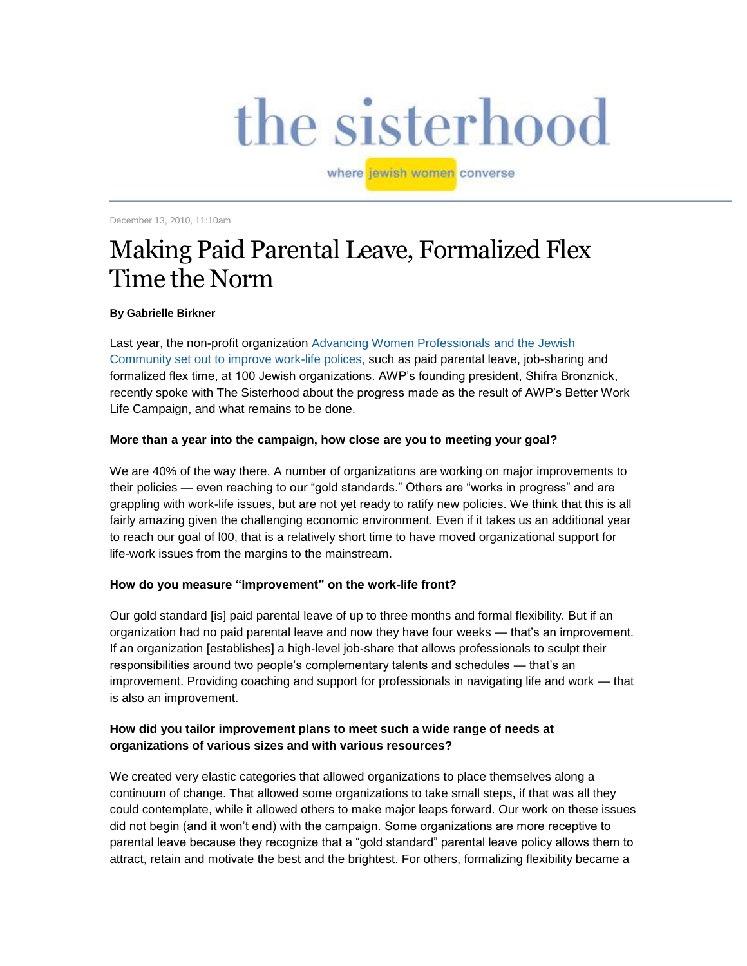# the sisterhood

where jewish women converse

December 13, 2010, 11:10am

# [Making Paid Parental Leave, Formalized Flex](http://blogs.forward.com/sisterhood-blog/133889/)  [Time the Norm](http://blogs.forward.com/sisterhood-blog/133889/)

#### **By Gabrielle Birkner**

Last year, the non-profit organization [Advancing Women Professionals and the Jewish](http://www.advancingwomen.org/)  [Community](http://www.advancingwomen.org/) [set out to improve work-life polices,](http://www.forward.com/articles/113749/) such as paid parental leave, job-sharing and formalized flex time, at 100 Jewish organizations. AWP's founding president, Shifra Bronznick, recently spoke with The Sisterhood about the progress made as the result of AWP's Better Work Life Campaign, and what remains to be done.

# **More than a year into the campaign, how close are you to meeting your goal?**

We are 40% of the way there. A number of organizations are working on major improvements to their policies — even reaching to our "gold standards." Others are "works in progress" and are grappling with work-life issues, but are not yet ready to ratify new policies. We think that this is all fairly amazing given the challenging economic environment. Even if it takes us an additional year to reach our goal of l00, that is a relatively short time to have moved organizational support for life-work issues from the margins to the mainstream.

# **How do you measure "improvement" on the work-life front?**

Our gold standard [is] paid parental leave of up to three months and formal flexibility. But if an organization had no paid parental leave and now they have four weeks — that's an improvement. If an organization [establishes] a high-level job-share that allows professionals to sculpt their responsibilities around two people's complementary talents and schedules — that's an improvement. Providing coaching and support for professionals in navigating life and work — that is also an improvement.

# **How did you tailor improvement plans to meet such a wide range of needs at organizations of various sizes and with various resources?**

We created very elastic categories that allowed organizations to place themselves along a continuum of change. That allowed some organizations to take small steps, if that was all they could contemplate, while it allowed others to make major leaps forward. Our work on these issues did not begin (and it won't end) with the campaign. Some organizations are more receptive to parental leave because they recognize that a "gold standard" parental leave policy allows them to attract, retain and motivate the best and the brightest. For others, formalizing flexibility became a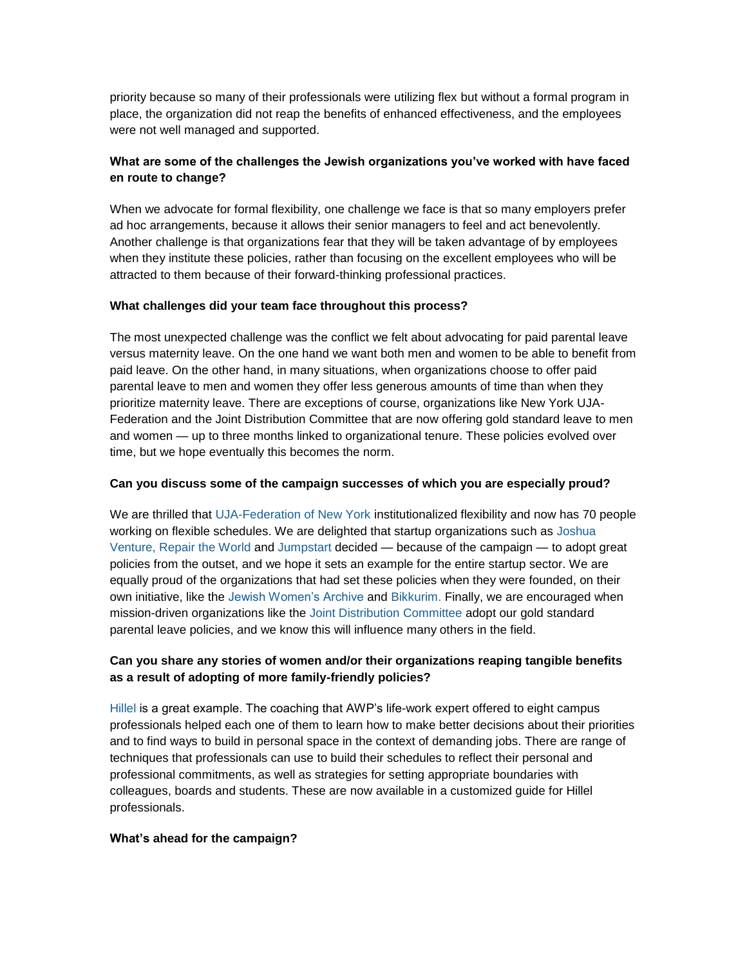priority because so many of their professionals were utilizing flex but without a formal program in place, the organization did not reap the benefits of enhanced effectiveness, and the employees were not well managed and supported.

# **What are some of the challenges the Jewish organizations you've worked with have faced en route to change?**

When we advocate for formal flexibility, one challenge we face is that so many employers prefer ad hoc arrangements, because it allows their senior managers to feel and act benevolently. Another challenge is that organizations fear that they will be taken advantage of by employees when they institute these policies, rather than focusing on the excellent employees who will be attracted to them because of their forward-thinking professional practices.

# **What challenges did your team face throughout this process?**

The most unexpected challenge was the conflict we felt about advocating for paid parental leave versus maternity leave. On the one hand we want both men and women to be able to benefit from paid leave. On the other hand, in many situations, when organizations choose to offer paid parental leave to men and women they offer less generous amounts of time than when they prioritize maternity leave. There are exceptions of course, organizations like New York UJA-Federation and the Joint Distribution Committee that are now offering gold standard leave to men and women — up to three months linked to organizational tenure. These policies evolved over time, but we hope eventually this becomes the norm.

#### **Can you discuss some of the campaign successes of which you are especially proud?**

We are thrilled that [UJA-Federation of New York](http://www.ujafedny.org/) institutionalized flexibility and now has 70 people working on flexible schedules. We are delighted that startup organizations such as [Joshua](http://joshuaventuregroup.org/)  [Venture,](http://joshuaventuregroup.org/) [Repair the World](http://werepair.org/) and [Jumpstart](http://jewishjumpstart.org/) decided — because of the campaign — to adopt great policies from the outset, and we hope it sets an example for the entire startup sector. We are equally proud of the organizations that had set these policies when they were founded, on their own initiative, like the [Jewish Women's Archive](http://jwa.org/) and [Bikkurim.](http://www.bikkurim.org/) Finally, we are encouraged when mission-driven organizations like the [Joint Distribution Committee](http://www.jdc.org/) adopt our gold standard parental leave policies, and we know this will influence many others in the field.

# **Can you share any stories of women and/or their organizations reaping tangible benefits as a result of adopting of more family-friendly policies?**

[Hillel](http://www.hillel.org/) is a great example. The coaching that AWP's life-work expert offered to eight campus professionals helped each one of them to learn how to make better decisions about their priorities and to find ways to build in personal space in the context of demanding jobs. There are range of techniques that professionals can use to build their schedules to reflect their personal and professional commitments, as well as strategies for setting appropriate boundaries with colleagues, boards and students. These are now available in a customized guide for Hillel professionals.

# **What's ahead for the campaign?**